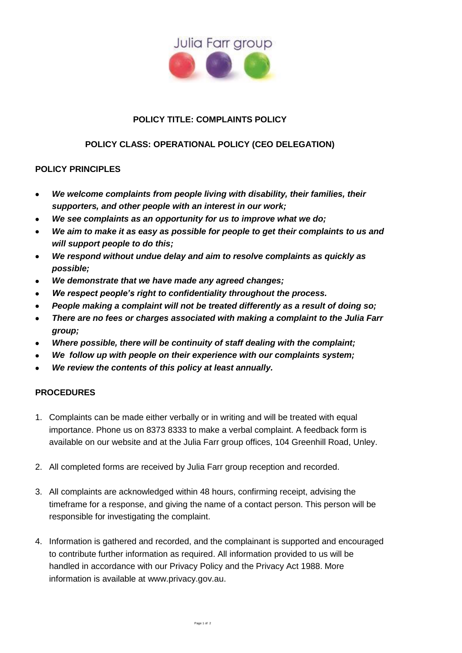

## **POLICY TITLE: COMPLAINTS POLICY**

## **POLICY CLASS: OPERATIONAL POLICY (CEO DELEGATION)**

## **POLICY PRINCIPLES**

- *We welcome complaints from people living with disability, their families, their supporters, and other people with an interest in our work;*
- *We see complaints as an opportunity for us to improve what we do;*
- *We aim to make it as easy as possible for people to get their complaints to us and will support people to do this;*
- *We respond without undue delay and aim to resolve complaints as quickly as possible;*
- *We demonstrate that we have made any agreed changes;*
- *We respect people's right to confidentiality throughout the process.*
- *People making a complaint will not be treated differently as a result of doing so;*
- *There are no fees or charges associated with making a complaint to the Julia Farr group;*
- *Where possible, there will be continuity of staff dealing with the complaint;*
- *We follow up with people on their experience with our complaints system;*
- *We review the contents of this policy at least annually.*

## **PROCEDURES**

- 1. Complaints can be made either verbally or in writing and will be treated with equal importance. Phone us on 8373 8333 to make a verbal complaint. A feedback form is available on our website and at the Julia Farr group offices, 104 Greenhill Road, Unley.
- 2. All completed forms are received by Julia Farr group reception and recorded.
- 3. All complaints are acknowledged within 48 hours, confirming receipt, advising the timeframe for a response, and giving the name of a contact person. This person will be responsible for investigating the complaint.
- 4. Information is gathered and recorded, and the complainant is supported and encouraged to contribute further information as required. All information provided to us will be handled in accordance with our Privacy Policy and the Privacy Act 1988. More information is available at [www.privacy.gov.au.](http://www.privacy.gov.au/)